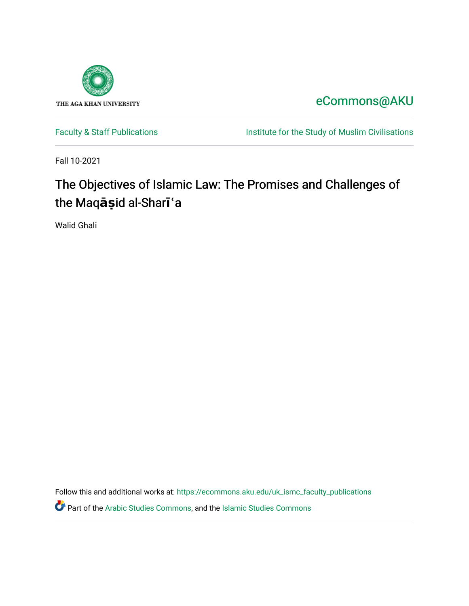

# [eCommons@AKU](https://ecommons.aku.edu/)

[Faculty & Staff Publications](https://ecommons.aku.edu/uk_ismc_faculty_publications) **Institute for the Study of Muslim Civilisations** 

Fall 10-2021

# The Objectives of Islamic Law: The Promises and Challenges of the Maq**āṣ**id al-Shar**īʿ**a

Walid Ghali

Follow this and additional works at: [https://ecommons.aku.edu/uk\\_ismc\\_faculty\\_publications](https://ecommons.aku.edu/uk_ismc_faculty_publications?utm_source=ecommons.aku.edu%2Fuk_ismc_faculty_publications%2F50&utm_medium=PDF&utm_campaign=PDFCoverPages)

**C** Part of the [Arabic Studies Commons,](http://network.bepress.com/hgg/discipline/1424?utm_source=ecommons.aku.edu%2Fuk_ismc_faculty_publications%2F50&utm_medium=PDF&utm_campaign=PDFCoverPages) and the [Islamic Studies Commons](http://network.bepress.com/hgg/discipline/1346?utm_source=ecommons.aku.edu%2Fuk_ismc_faculty_publications%2F50&utm_medium=PDF&utm_campaign=PDFCoverPages)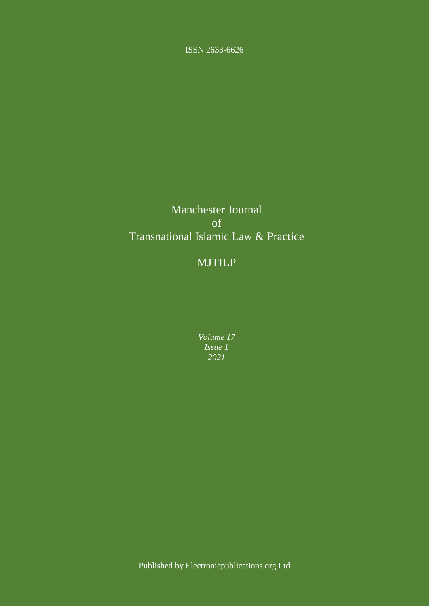ISSN 2633-6626

## Manchester Journal of Transnational Islamic Law & Practice

## MJTILP

*Volume 17 Issue 1 2021*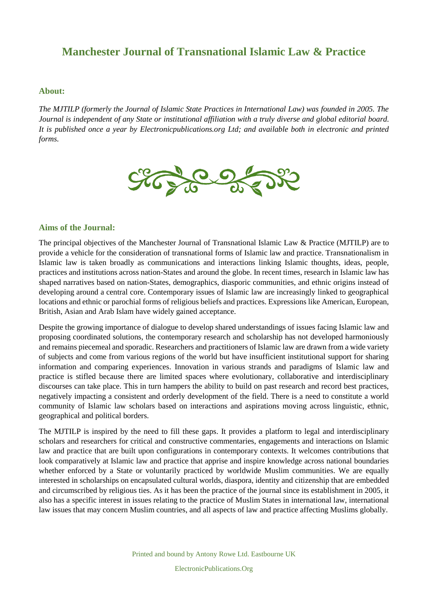#### **About:**

*The MJTILP (formerly the Journal of Islamic State Practices in International Law) was founded in 2005. The Journal is independent of any State or institutional affiliation with a truly diverse and global editorial board. It is published once a year by Electronicpublications.org Ltd; and available both in electronic and printed forms.*



#### **Aims of the Journal:**

The principal objectives of the Manchester Journal of Transnational Islamic Law & Practice (MJTILP) are to provide a vehicle for the consideration of transnational forms of Islamic law and practice. Transnationalism in Islamic law is taken broadly as communications and interactions linking Islamic thoughts, ideas, people, practices and institutions across nation-States and around the globe. In recent times, research in Islamic law has shaped narratives based on nation-States, demographics, diasporic communities, and ethnic origins instead of developing around a central core. Contemporary issues of Islamic law are increasingly linked to geographical locations and ethnic or parochial forms of religious beliefs and practices. Expressions like American, European, British, Asian and Arab Islam have widely gained acceptance.

Despite the growing importance of dialogue to develop shared understandings of issues facing Islamic law and proposing coordinated solutions, the contemporary research and scholarship has not developed harmoniously and remains piecemeal and sporadic. Researchers and practitioners of Islamic law are drawn from a wide variety of subjects and come from various regions of the world but have insufficient institutional support for sharing information and comparing experiences. Innovation in various strands and paradigms of Islamic law and practice is stifled because there are limited spaces where evolutionary, collaborative and interdisciplinary discourses can take place. This in turn hampers the ability to build on past research and record best practices, negatively impacting a consistent and orderly development of the field. There is a need to constitute a world community of Islamic law scholars based on interactions and aspirations moving across linguistic, ethnic, geographical and political borders.

The MJTILP is inspired by the need to fill these gaps. It provides a platform to legal and interdisciplinary scholars and researchers for critical and constructive commentaries, engagements and interactions on Islamic law and practice that are built upon configurations in contemporary contexts. It welcomes contributions that look comparatively at Islamic law and practice that apprise and inspire knowledge across national boundaries whether enforced by a State or voluntarily practiced by worldwide Muslim communities. We are equally interested in scholarships on encapsulated cultural worlds, diaspora, identity and citizenship that are embedded and circumscribed by religious ties. As it has been the practice of the journal since its establishment in 2005, it also has a specific interest in issues relating to the practice of Muslim States in international law, international law issues that may concern Muslim countries, and all aspects of law and practice affecting Muslims globally.

Printed and bound by Antony Rowe Ltd. Eastbourne UK

ElectronicPublications.Org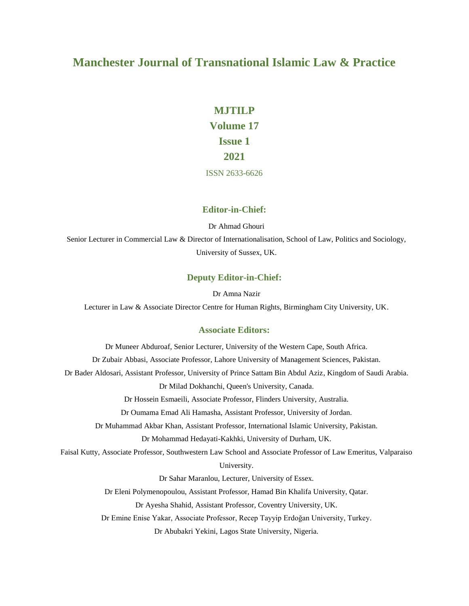# **MJTILP Volume 17 Issue 1 2021**

ISSN 2633-6626

#### **Editor-in-Chief:**

Dr Ahmad Ghouri

Senior Lecturer in Commercial Law & Director of Internationalisation, School of Law, Politics and Sociology, University of Sussex, UK.

#### **Deputy Editor-in-Chief:**

Dr Amna Nazir

Lecturer in Law & Associate Director Centre for Human Rights, Birmingham City University, UK.

#### **Associate Editors:**

Dr Muneer Abduroaf, Senior Lecturer, University of the Western Cape, South Africa. Dr Zubair Abbasi, Associate Professor, Lahore University of Management Sciences, Pakistan. Dr Bader Aldosari, Assistant Professor, University of Prince Sattam Bin Abdul Aziz, Kingdom of Saudi Arabia. Dr Milad Dokhanchi, Queen's University, Canada. Dr Hossein Esmaeili, Associate Professor, Flinders University, Australia. Dr Oumama Emad Ali Hamasha, Assistant Professor, University of Jordan. Dr Muhammad Akbar Khan, Assistant Professor, International Islamic University, Pakistan. Dr Mohammad Hedayati-Kakhki, University of Durham, UK. Faisal Kutty, Associate Professor, Southwestern Law School and Associate Professor of Law Emeritus, Valparaiso University. Dr Sahar Maranlou, Lecturer, University of Essex. Dr Eleni Polymenopoulou, Assistant Professor, Hamad Bin Khalifa University, Qatar. Dr Ayesha Shahid, Assistant Professor, Coventry University, UK. Dr Emine Enise Yakar, Associate Professor, Recep Tayyip Erdoğan University, Turkey. Dr Abubakri Yekini, Lagos State University, Nigeria.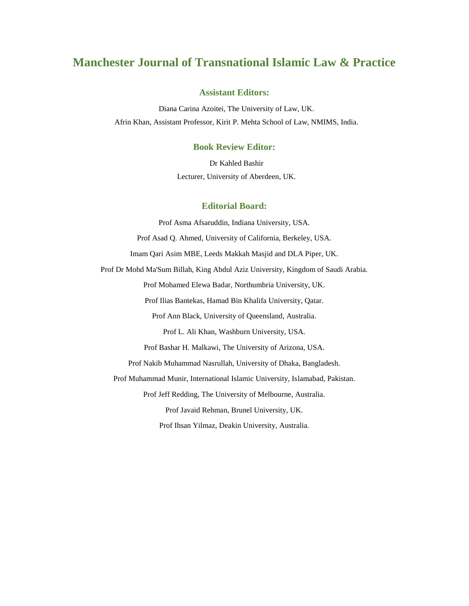#### **Assistant Editors:**

Diana Carina Azoitei, The University of Law, UK. Afrin Khan, Assistant Professor, Kirit P. Mehta School of Law, NMIMS, India.

#### **Book Review Editor:**

Dr Kahled Bashir Lecturer, University of Aberdeen, UK.

#### **Editorial Board:**

Prof Asma Afsaruddin, Indiana University, USA. Prof Asad Q. Ahmed, University of California, Berkeley, USA. Imam Qari Asim MBE, Leeds Makkah Masjid and DLA Piper, UK. Prof Dr Mohd Ma'Sum Billah, King Abdul Aziz University, Kingdom of Saudi Arabia. Prof Mohamed Elewa Badar, Northumbria University, UK. Prof Ilias Bantekas, Hamad Bin Khalifa University, Qatar. Prof Ann Black, University of Queensland, Australia. Prof L. Ali Khan, Washburn University, USA. Prof Bashar H. Malkawi, The University of Arizona, USA. Prof Nakib Muhammad Nasrullah, University of Dhaka, Bangladesh. Prof Muhammad Munir, International Islamic University, Islamabad, Pakistan. Prof Jeff Redding, The University of Melbourne, Australia. Prof Javaid Rehman, Brunel University, UK. Prof Ihsan Yilmaz, Deakin University, Australia.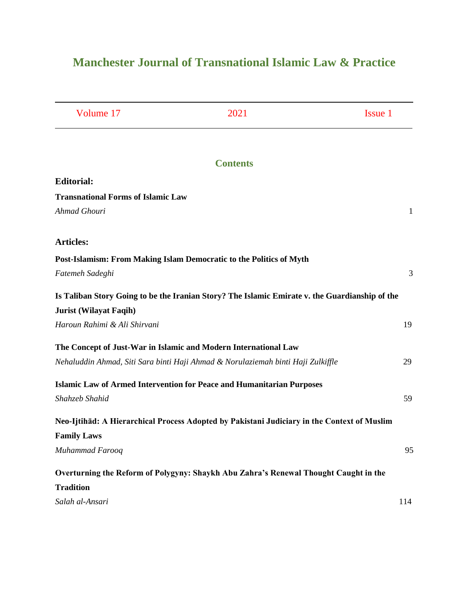| Volume 17                                 | 2021                                                                                           | Issue 1 |
|-------------------------------------------|------------------------------------------------------------------------------------------------|---------|
|                                           |                                                                                                |         |
|                                           | <b>Contents</b>                                                                                |         |
| <b>Editorial:</b>                         |                                                                                                |         |
| <b>Transnational Forms of Islamic Law</b> |                                                                                                |         |
| Ahmad Ghouri                              |                                                                                                | 1       |
| <b>Articles:</b>                          |                                                                                                |         |
|                                           | Post-Islamism: From Making Islam Democratic to the Politics of Myth                            |         |
| Fatemeh Sadeghi                           |                                                                                                | 3       |
|                                           | Is Taliban Story Going to be the Iranian Story? The Islamic Emirate v. the Guardianship of the |         |
| <b>Jurist (Wilayat Faqih)</b>             |                                                                                                |         |
| Haroun Rahimi & Ali Shirvani              |                                                                                                | 19      |
|                                           | The Concept of Just-War in Islamic and Modern International Law                                |         |
|                                           | Nehaluddin Ahmad, Siti Sara binti Haji Ahmad & Norulaziemah binti Haji Zulkiffle               | 29      |
|                                           | <b>Islamic Law of Armed Intervention for Peace and Humanitarian Purposes</b>                   |         |
| Shahzeb Shahid                            |                                                                                                | 59      |
|                                           | Neo-Ijtihad: A Hierarchical Process Adopted by Pakistani Judiciary in the Context of Muslim    |         |
| <b>Family Laws</b>                        |                                                                                                |         |
| Muhammad Farooq                           |                                                                                                | 95      |
|                                           | Overturning the Reform of Polygyny: Shaykh Abu Zahra's Renewal Thought Caught in the           |         |
| <b>Tradition</b>                          |                                                                                                |         |
| Salah al-Ansari                           |                                                                                                | 114     |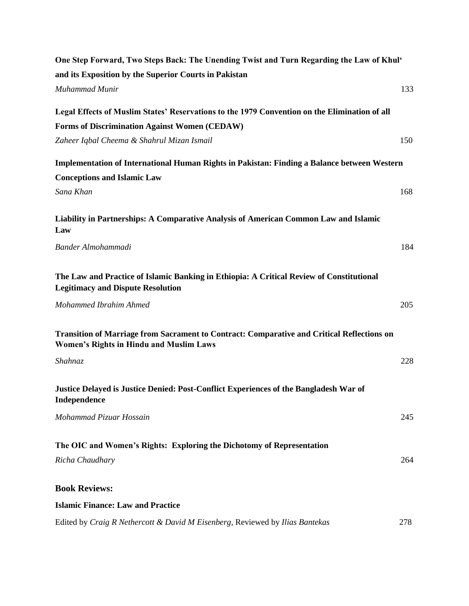| One Step Forward, Two Steps Back: The Unending Twist and Turn Regarding the Law of Khul'                                                     |     |
|----------------------------------------------------------------------------------------------------------------------------------------------|-----|
| and its Exposition by the Superior Courts in Pakistan                                                                                        |     |
| Muhammad Munir                                                                                                                               | 133 |
| Legal Effects of Muslim States' Reservations to the 1979 Convention on the Elimination of all                                                |     |
| <b>Forms of Discrimination Against Women (CEDAW)</b>                                                                                         |     |
| Zaheer Iqbal Cheema & Shahrul Mizan Ismail                                                                                                   | 150 |
| Implementation of International Human Rights in Pakistan: Finding a Balance between Western                                                  |     |
| <b>Conceptions and Islamic Law</b>                                                                                                           |     |
| Sana Khan                                                                                                                                    | 168 |
| Liability in Partnerships: A Comparative Analysis of American Common Law and Islamic<br>Law                                                  |     |
| Bander Almohammadi                                                                                                                           | 184 |
| The Law and Practice of Islamic Banking in Ethiopia: A Critical Review of Constitutional<br><b>Legitimacy and Dispute Resolution</b>         |     |
| Mohammed Ibrahim Ahmed                                                                                                                       | 205 |
| Transition of Marriage from Sacrament to Contract: Comparative and Critical Reflections on<br><b>Women's Rights in Hindu and Muslim Laws</b> |     |
| Shahnaz                                                                                                                                      | 228 |
| Justice Delayed is Justice Denied: Post-Conflict Experiences of the Bangladesh War of<br>Independence                                        |     |
| Mohammad Pizuar Hossain                                                                                                                      | 245 |
| The OIC and Women's Rights: Exploring the Dichotomy of Representation                                                                        |     |
| Richa Chaudhary                                                                                                                              | 264 |
| <b>Book Reviews:</b>                                                                                                                         |     |
| <b>Islamic Finance: Law and Practice</b>                                                                                                     |     |
| Edited by Craig R Nethercott & David M Eisenberg, Reviewed by Ilias Bantekas                                                                 | 278 |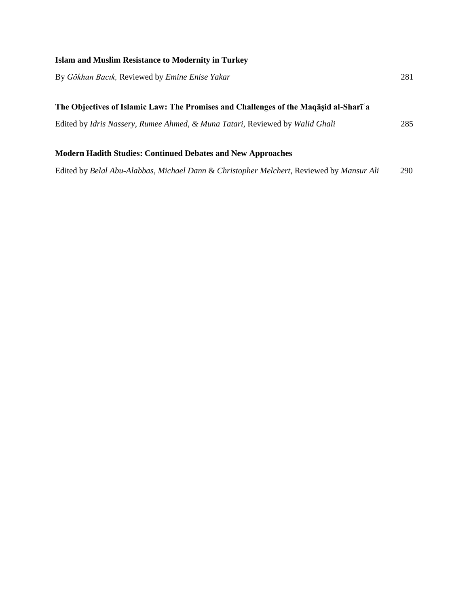### **Islam and Muslim Resistance to Modernity in Turkey**

| By Gökhan Bacık, Reviewed by Emine Enise Yakar                                                    |     |
|---------------------------------------------------------------------------------------------------|-----|
| The Objectives of Islamic Law: The Promises and Challenges of the Maqasid al-Shari <sup>'</sup> a |     |
| Edited by <i>Idris Nassery, Rumee Ahmed, &amp; Muna Tatari</i> , Reviewed by <i>Walid Ghali</i>   | 285 |
| <b>Modern Hadith Studies: Continued Debates and New Approaches</b>                                |     |

Edited by *Belal Abu-Alabbas*, *Michael Dann* & *Christopher Melchert*, Reviewed by *Mansur Ali* 290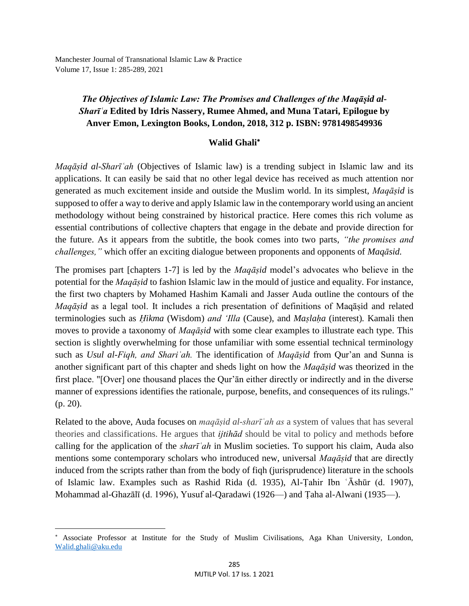Manchester Journal of Transnational Islamic Law & Practice Volume 17, Issue 1: 285-289, 2021

### *The Objectives of Islamic Law: The Promises and Challenges of the Maqāṣid al-Sharīʿa* **Edited by Idris Nassery, Rumee Ahmed, and Muna Tatari, Epilogue by Anver Emon, Lexington Books, London, 2018, 312 p. ISBN: 9781498549936**

### **Walid Ghali**

*Maqāṣid al-Sharīʿah* (Objectives of Islamic law) is a trending subject in Islamic law and its applications. It can easily be said that no other legal device has received as much attention nor generated as much excitement inside and outside the Muslim world. In its simplest, *Maqāṣid* is supposed to offer a way to derive and apply Islamic law in the contemporary world using an ancient methodology without being constrained by historical practice. Here comes this rich volume as essential contributions of collective chapters that engage in the debate and provide direction for the future. As it appears from the subtitle, the book comes into two parts, *"the promises and challenges,"* which offer an exciting dialogue between proponents and opponents of *Maqāsid.*

The promises part [chapters 1-7] is led by the *Maqāṣid* model's advocates who believe in the potential for the *Maqāṣid* to fashion Islamic law in the mould of justice and equality. For instance, the first two chapters by Mohamed Hashim Kamali and Jasser Auda outline the contours of the *Maqāṣid* as a legal tool. It includes a rich presentation of definitions of Maqāṣid and related terminologies such as *Ḥikma* (Wisdom) *and 'Illa* (Cause), and *Maṣlaḥa* (interest)*.* Kamali then moves to provide a taxonomy of *Maqāṣid* with some clear examples to illustrate each type. This section is slightly overwhelming for those unfamiliar with some essential technical terminology such as *Usul al-Fiqh, and Shariʿah.* The identification of *Maqāṣid* from Qur'an and Sunna is another significant part of this chapter and sheds light on how the *Maqāṣid* was theorized in the first place. "[Over] one thousand places the Qur'ān either directly or indirectly and in the diverse manner of expressions identifies the rationale, purpose, benefits, and consequences of its rulings." (p. 20).

Related to the above, Auda focuses on *maqāṣid al-sharīʿah as* a system of values that has several theories and classifications. He argues that *ijtihād* should be vital to policy and methods before calling for the application of the *sharīʿah* in Muslim societies. To support his claim, Auda also mentions some contemporary scholars who introduced new, universal *Maqāṣid* that are directly induced from the scripts rather than from the body of fiqh (jurisprudence) literature in the schools of Islamic law. Examples such as Rashid Rida (d. 1935), Al-Ṭahir Ibn ʿĀshūr (d. 1907), Mohammad al-Ghazālī (d. 1996), Yusuf al-Qaradawi (1926—) and Ṭaha al-Alwani (1935—).

l

Associate Professor at Institute for the Study of Muslim Civilisations, Aga Khan University, London, [Walid.ghali@aku.edu](mailto:Walid.ghali@aku.edu)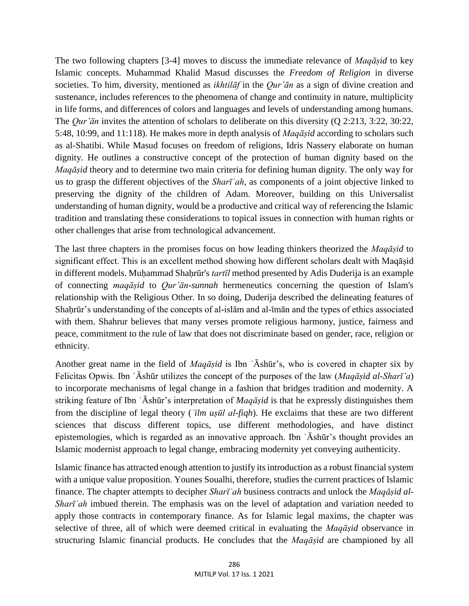The two following chapters [3-4] moves to discuss the immediate relevance of *Maqāṣid* to key Islamic concepts. Muhammad Khalid Masud discusses the *[Freedom of Religion](http://127.0.0.1:5001/xhtml/contents.xhtml#re_chapter3)* in diverse [societies. T](http://127.0.0.1:5001/xhtml/contents.xhtml#re_chapter3)o him, diversity, mentioned as *ikhtilāf* in the *Qur'ān* as a sign of divine creation and sustenance, includes references to the phenomena of change and continuity in nature, multiplicity in life forms, and differences of colors and languages and levels of understanding among humans. The *Qur'ān* invites the attention of scholars to deliberate on this diversity (Q 2:213, 3:22, 30:22, 5:48, 10:99, and 11:118). He makes more in depth analysis of *Maqāṣid* according to scholars such as al-Shatibi. While Masud focuses on freedom of religions, Idris Nassery elaborate on human dignity. He outlines a constructive concept of the protection of human dignity based on the *Maqāṣid* theory and to determine two main criteria for defining human dignity. The only way for us to grasp the different objectives of the *Sharīʿah*, as components of a joint objective linked to preserving the dignity of the children of Adam. Moreover, building on this Universalist understanding of human dignity, would be a productive and critical way of referencing the Islamic tradition and translating these considerations to topical issues in connection with human rights or other challenges that arise from technological advancement.

The last three chapters in the promises focus on how leading thinkers theorized the *Maqāṣid* to significant effect. This is an excellent method showing how different scholars dealt with Maqāṣid in different models. Muḥammad Shaḥrūr's *tartīl* method presented by Adis Duderija is an example of connecting *maqāṣid* to *Qur'ān-sunnah* hermeneutics concerning the question of Islam's relationship with the Religious Other. In so doing, Duderija described the delineating features of Shaḥrūr's understanding of the concepts of al-islām and al-īmān and the types of ethics associated with them. Shahrur believes that many verses promote religious harmony, justice, fairness and peace, commitment to the rule of law that does not discriminate based on gender, race, religion or ethnicity.

Another great name in the field of *Maqāṣid* is Ibn ʿĀshūr's, who is covered in chapter six by Felicitas Opwis. Ibn ʿĀshūr utilizes the concept of the purposes of the law (*Maqāṣid al-Sharī'a*) to incorporate mechanisms of legal change in a fashion that bridges tradition and modernity. A striking feature of Ibn ʿĀshūr's interpretation of *Maqāṣid* is that he expressly distinguishes them from the discipline of legal theory (*ʿilm uṣūl al-fiqh*). He exclaims that these are two different sciences that discuss different topics, use different methodologies, and have distinct epistemologies, which is regarded as an innovative approach. Ibn ʿĀshūr's thought provides an Islamic modernist approach to legal change, embracing modernity yet conveying authenticity.

Islamic finance has attracted enough attention to justify its introduction as a robust financial system with a unique value proposition. Younes Soualhi, therefore, studies the current practices of Islamic finance. The chapter attempts to decipher *Sharīʿah* business contracts and unlock the *Maqāṣid al-Sharī*<sup>'</sup>*ah* imbued therein. The emphasis was on the level of adaptation and variation needed to apply those contracts in contemporary finance. As for Islamic legal maxims, the chapter was selective of three, all of which were deemed critical in evaluating the *Maqāṣid* observance in structuring Islamic financial products. He concludes that the *Maqāṣid* are championed by all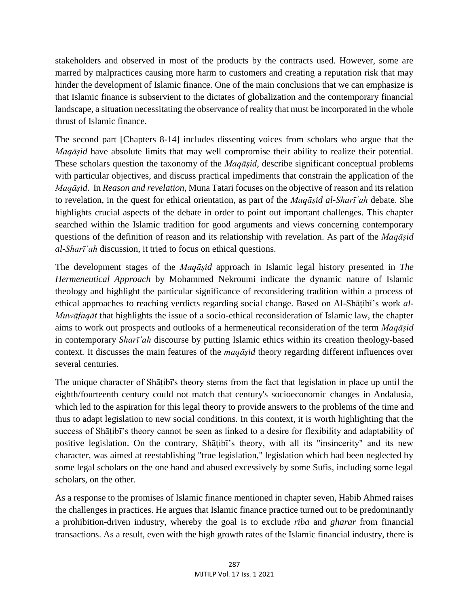stakeholders and observed in most of the products by the contracts used. However, some are marred by malpractices causing more harm to customers and creating a reputation risk that may hinder the development of Islamic finance. One of the main conclusions that we can emphasize is that Islamic finance is subservient to the dictates of globalization and the contemporary financial landscape, a situation necessitating the observance of reality that must be incorporated in the whole thrust of Islamic finance.

The second part [Chapters 8-14] includes dissenting voices from scholars who argue that the *Maqāṣid* have absolute limits that may well compromise their ability to realize their potential. These scholars question the taxonomy of the *Maqāṣid*, describe significant conceptual problems with particular objectives, and discuss practical impediments that constrain the application of the *Maqāṣid*. In *Reason and revelation*, Muna Tatari focuses on the objective of reason and its relation to revelation, in the quest for ethical orientation, as part of the *Maqāṣid al-Sharīʿah* debate. She highlights crucial aspects of the debate in order to point out important challenges. This chapter searched within the Islamic tradition for good arguments and views concerning contemporary questions of the definition of reason and its relationship with revelation. As part of the *Maqāṣid al-Sharīʿah* discussion, it tried to focus on ethical questions.

The development stages of the *Maqāṣid* approach in Islamic legal history presented in *The Hermeneutical Approach* by Mohammed Nekroumi indicate the dynamic nature of Islamic theology and highlight the particular significance of reconsidering tradition within a process of ethical approaches to reaching verdicts regarding social change. Based on Al-Shāṭibī's work *al-Muwāfaqāt* that highlights the issue of a socio-ethical reconsideration of Islamic law, the chapter aims to work out prospects and outlooks of a hermeneutical reconsideration of the term *Maqāṣid* in contemporary *Sharīʿah* discourse by putting Islamic ethics within its creation theology-based context*.* It discusses the main features of the *maqāṣid* theory regarding different influences over several centuries.

The unique character of Shāṭibī's theory stems from the fact that legislation in place up until the eighth/fourteenth century could not match that century's socioeconomic changes in Andalusia, which led to the aspiration for this legal theory to provide answers to the problems of the time and thus to adapt legislation to new social conditions. In this context, it is worth highlighting that the success of Shāṭibī's theory cannot be seen as linked to a desire for flexibility and adaptability of positive legislation. On the contrary, Shāṭibī's theory, with all its "insincerity" and its new character, was aimed at reestablishing "true legislation," legislation which had been neglected by some legal scholars on the one hand and abused excessively by some Sufis, including some legal scholars, on the other.

As a response to the promises of Islamic finance mentioned in chapter seven, Habib Ahmed raises the challenges in practices. He argues that Islamic finance practice turned out to be predominantly a prohibition-driven industry, whereby the goal is to exclude *riba* and *gharar* from financial transactions. As a result, even with the high growth rates of the Islamic financial industry, there is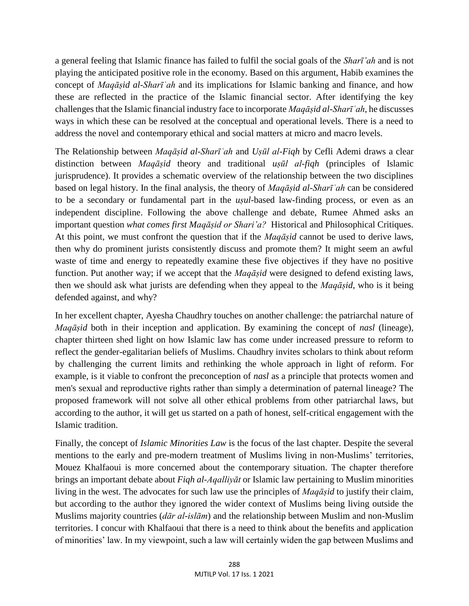a general feeling that Islamic finance has failed to fulfil the social goals of the *Sharī'ah* and is not playing the anticipated positive role in the economy. Based on this argument, Habib examines the concept of *Maqāṣid al-Sharīʿah* and its implications for Islamic banking and finance, and how these are reflected in the practice of the Islamic financial sector. After identifying the key challenges that the Islamic financial industry face to incorporate *Maqāṣid al-Sharīʿah*, he discusses ways in which these can be resolved at the conceptual and operational levels. There is a need to address the novel and contemporary ethical and social matters at micro and macro levels.

[The Relationship between](http://127.0.0.1:5001/xhtml/contents.xhtml#re_chapter11) *Maqāṣid al-Sharīʿah* and *Uṣūl al-Fiqh* by Cefli Ademi draws a clear distinction between *Maqāṣid* theory and traditional *uṣūl al-fiqh* (principles of Islamic jurisprudence). It provides a schematic overview of the relationship between the two disciplines based on legal history. In the final analysis, the theory of *Maqāṣid al-Sharīʿah* can be considered to be a secondary or fundamental part in the *uṣul*-based law-finding process, or even as an independent discipline. Following the above challenge and debate, Rumee Ahmed asks an important question *what comes first Maqāṣid or Shari'a?* Historical and Philosophical Critiques. At this point, we must confront the question that if the *Maqāṣid* cannot be used to derive laws, then why do prominent jurists consistently discuss and promote them? It might seem an awful waste of time and energy to repeatedly examine these five objectives if they have no positive function. Put another way; if we accept that the *Maqāṣid* were designed to defend existing laws, then we should ask what jurists are defending when they appeal to the *Maqāṣid*, who is it being defended against, and why?

In her excellent chapter, Ayesha Chaudhry touches on another challenge: the patriarchal nature of *Maqāṣid* both in their inception and application. By examining the concept of *nasl* (lineage), chapter thirteen shed light on how Islamic law has come under increased pressure to reform to reflect the gender-egalitarian beliefs of Muslims. Chaudhry invites scholars to think about reform by challenging the current limits and rethinking the whole approach in light of reform. For example, is it viable to confront the preconception of *nasl* as a principle that protects women and men's sexual and reproductive rights rather than simply a determination of paternal lineage? The proposed framework will not solve all other ethical problems from other patriarchal laws, but according to the author, it will get us started on a path of honest, self-critical engagement with the Islamic tradition.

Finally, the concept of *Islamic Minorities Law* is the focus of the last chapter. Despite the several mentions to the early and pre-modern treatment of Muslims living in non-Muslims' territories, Mouez Khalfaoui is more concerned about the contemporary situation. The chapter therefore brings an important debate about *Fiqh al-Aqalliyāt* or Islamic law pertaining to Muslim minorities living in the west. The advocates for such law use the principles of *Maqāṣid* to justify their claim, but according to the author they ignored the wider context of Muslims being living outside the Muslims majority countries (*dār al-islām*) and the relationship between Muslim and non-Muslim territories. I concur with Khalfaoui that there is a need to think about the benefits and application of minorities' law. In my viewpoint, such a law will certainly widen the gap between Muslims and